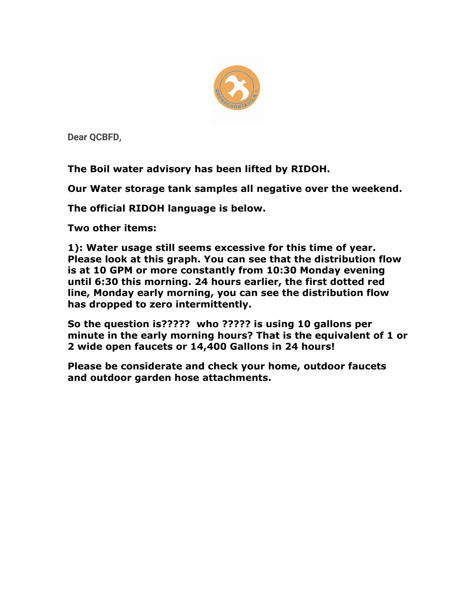

**Dear QCBFD,**

**The Boil water advisory has been lifted by RIDOH.**

**Our Water storage tank samples all negative over the weekend.**

**The official RIDOH language is below.**

**Two other items:**

**1): Water usage still seems excessive for this time of year. Please look at this graph. You can see that the distribution flow is at 10 GPM or more constantly from 10:30 Monday evening until 6:30 this morning. 24 hours earlier, the first dotted red line, Monday early morning, you can see the distribution flow has dropped to zero intermittently.**

**So the question is????? who ????? is using 10 gallons per minute in the early morning hours? That is the equivalent of 1 or 2 wide open faucets or 14,400 Gallons in 24 hours!**

**Please be considerate and check your home, outdoor faucets and outdoor garden hose attachments.**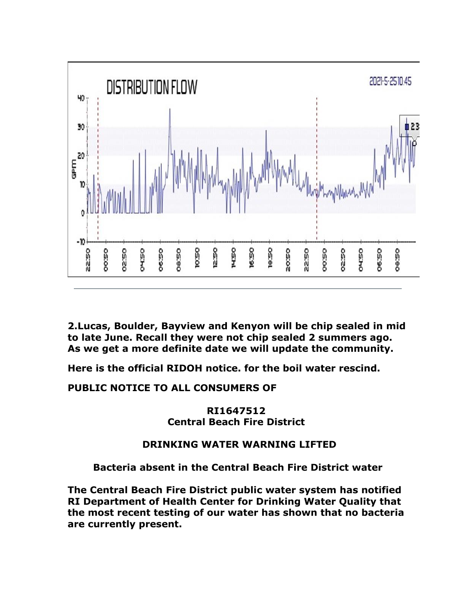

**2.Lucas, Boulder, Bayview and Kenyon will be chip sealed in mid to late June. Recall they were not chip sealed 2 summers ago. As we get a more definite date we will update the community.**

**Here is the official RIDOH notice. for the boil water rescind.**

**PUBLIC NOTICE TO ALL CONSUMERS OF**

**RI1647512 Central Beach Fire District**

## **DRINKING WATER WARNING LIFTED**

**Bacteria absent in the Central Beach Fire District water**

**The Central Beach Fire District public water system has notified RI Department of Health Center for Drinking Water Quality that the most recent testing of our water has shown that no bacteria are currently present.**